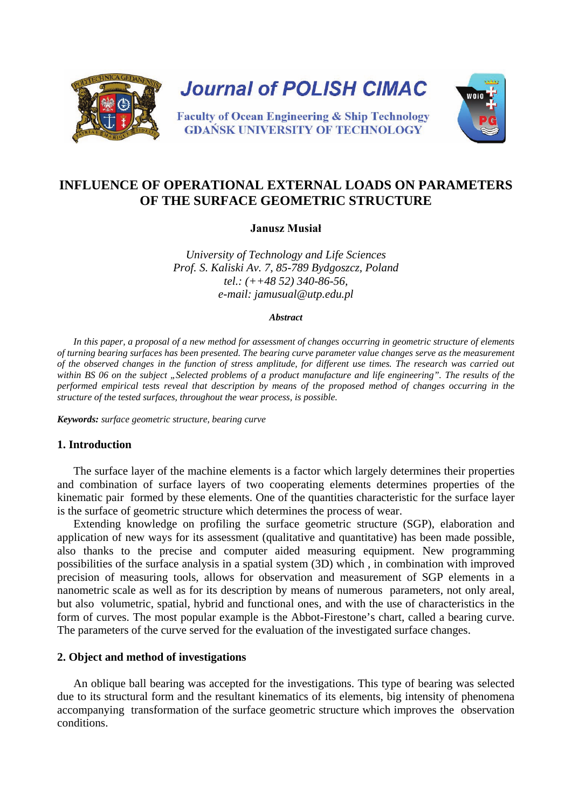

# **INFLUENCE OF OPERATIONAL EXTERNAL LOADS ON PARAMETERS OF THE SURFACE GEOMETRIC STRUCTURE**

**Janusz Musiał**

*University of Technology and Life Sciences Prof. S. Kaliski Av. 7, 85-789 Bydgoszcz, Poland tel.: (++48 52) 340-86-56, e-mail: [jamusual@utp.edu.pl](mailto:msr@atr.bydgoszcz.pl)*

#### *Abstract*

*In this paper, a proposal of a new method for assessment of changes occurring in geometric structure of elements of turning bearing surfaces has been presented. The bearing curve parameter value changes serve as the measurement of the observed changes in the function of stress amplitude, for different use times. The research was carried out*  within BS 06 on the subject "Selected problems of a product manufacture and life engineering". The results of the *performed empirical tests reveal that description by means of the proposed method of changes occurring in the structure of the tested surfaces, throughout the wear process, is possible.* 

*Keywords: surface geometric structure, bearing curve*

## **1. Introduction**

The surface layer of the machine elements is a factor which largely determines their properties and combination of surface layers of two cooperating elements determines properties of the kinematic pair formed by these elements. One of the quantities characteristic for the surface layer is the surface of geometric structure which determines the process of wear.

Extending knowledge on profiling the surface geometric structure (SGP), elaboration and application of new ways for its assessment (qualitative and quantitative) has been made possible, also thanks to the precise and computer aided measuring equipment. New programming possibilities of the surface analysis in a spatial system (3D) which , in combination with improved precision of measuring tools, allows for observation and measurement of SGP elements in a nanometric scale as well as for its description by means of numerous parameters, not only areal, but also volumetric, spatial, hybrid and functional ones, and with the use of characteristics in the form of curves. The most popular example is the Abbot-Firestone's chart, called a bearing curve. The parameters of the curve served for the evaluation of the investigated surface changes.

#### **2. Object and method of investigations**

An oblique ball bearing was accepted for the investigations. This type of bearing was selected due to its structural form and the resultant kinematics of its elements, big intensity of phenomena accompanying transformation of the surface geometric structure which improves the observation conditions.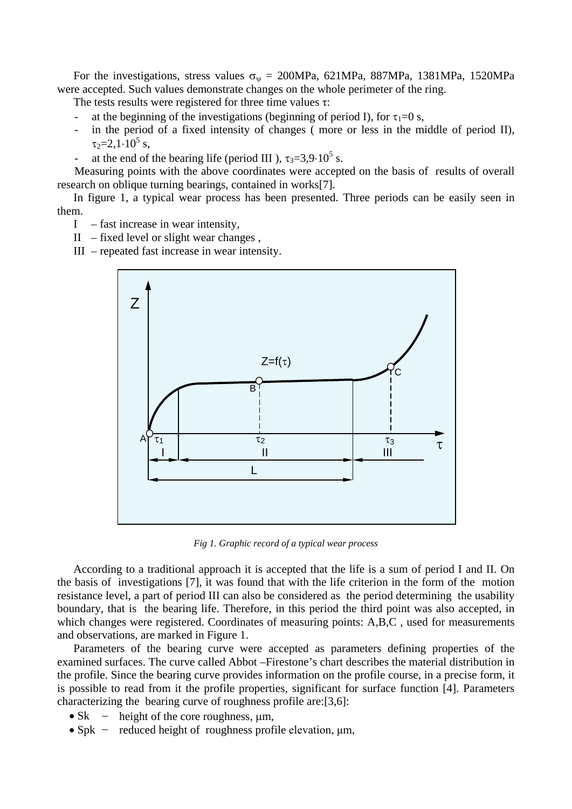For the investigations, stress values  $\sigma_{\psi} = 200MPa$ , 621MPa, 887MPa, 1381MPa, 1520MPa were accepted. Such values demonstrate changes on the whole perimeter of the ring.

The tests results were registered for three time values τ:

- at the beginning of the investigations (beginning of period I), for  $\tau_1=0$  s,
- in the period of a fixed intensity of changes (more or less in the middle of period II),  $\tau_2 = 2.1 \cdot 10^5$  s,
- at the end of the bearing life (period III ),  $\tau_3 = 3.9 \cdot 10^5$  s.

Measuring points with the above coordinates were accepted on the basis of results of overall research on oblique turning bearings, contained in works[7].

In figure 1, a typical wear process has been presented. Three periods can be easily seen in them.

- I fast increase in wear intensity,
- II fixed level or slight wear changes ,
- III repeated fast increase in wear intensity.



*Fig 1. Graphic record of a typical wear process*

According to a traditional approach it is accepted that the life is a sum of period I and II. On the basis of investigations [7], it was found that with the life criterion in the form of the motion resistance level, a part of period III can also be considered as the period determining the usability boundary, that is the bearing life. Therefore, in this period the third point was also accepted, in which changes were registered. Coordinates of measuring points: A,B,C, used for measurements and observations, are marked in Figure 1.

Parameters of the bearing curve were accepted as parameters defining properties of the examined surfaces. The curve called Abbot –Firestone's chart describes the material distribution in the profile. Since the bearing curve provides information on the profile course, in a precise form, it is possible to read from it the profile properties, significant for surface function [4]. Parameters characterizing the bearing curve of roughness profile are:[3,6]:

- Sk height of the core roughness,  $\mu$ m,
- Spk reduced height of roughness profile elevation, μm,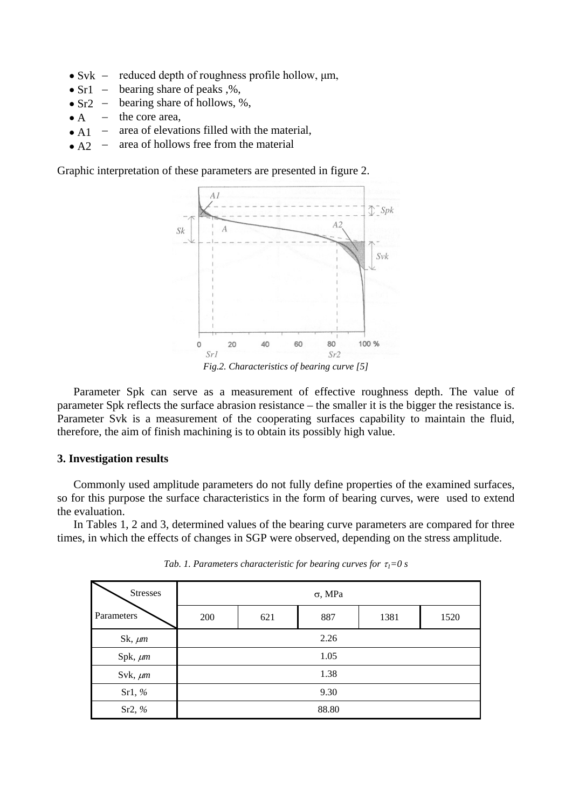- $\bullet$  Svk  $$ reduced depth of roughness profile hollow, μm,
- $\bullet$  Sr1  $$ bearing share of peaks ,%,
- $\bullet$  Sr2  $$ bearing share of hollows, %,
- $\bullet$  A – the core area,
- $\bullet$  A1 – area of elevations filled with the material,
- $\bullet$  A<sub>2</sub>  $\equiv$ area of hollows free from the material

Graphic interpretation of these parameters are presented in figure 2.



Parameter Spk can serve as a measurement of effective roughness depth. The value of parameter Spk reflects the surface abrasion resistance – the smaller it is the bigger the resistance is. Parameter Svk is a measurement of the cooperating surfaces capability to maintain the fluid, therefore, the aim of finish machining is to obtain its possibly high value.

#### **3. Investigation results**

Commonly used amplitude parameters do not fully define properties of the examined surfaces, so for this purpose the surface characteristics in the form of bearing curves, were used to extend the evaluation.

In Tables 1, 2 and 3, determined values of the bearing curve parameters are compared for three times, in which the effects of changes in SGP were observed, depending on the stress amplitude.

| <b>Stresses</b> | $\sigma$ , MPa |     |     |      |      |  |  |
|-----------------|----------------|-----|-----|------|------|--|--|
| Parameters      | 200            | 621 | 887 | 1381 | 1520 |  |  |
| Sk, $\mu$ m     | 2.26           |     |     |      |      |  |  |
| Spk, um         | 1.05           |     |     |      |      |  |  |
| Svk, $\mu$ m    | 1.38           |     |     |      |      |  |  |
| Sr1, $%$        | 9.30           |     |     |      |      |  |  |
| Sr2, $%$        | 88.80          |     |     |      |      |  |  |

*Tab. 1. Parameters characteristic for bearing curves for*  $\tau_1 = 0$  *s*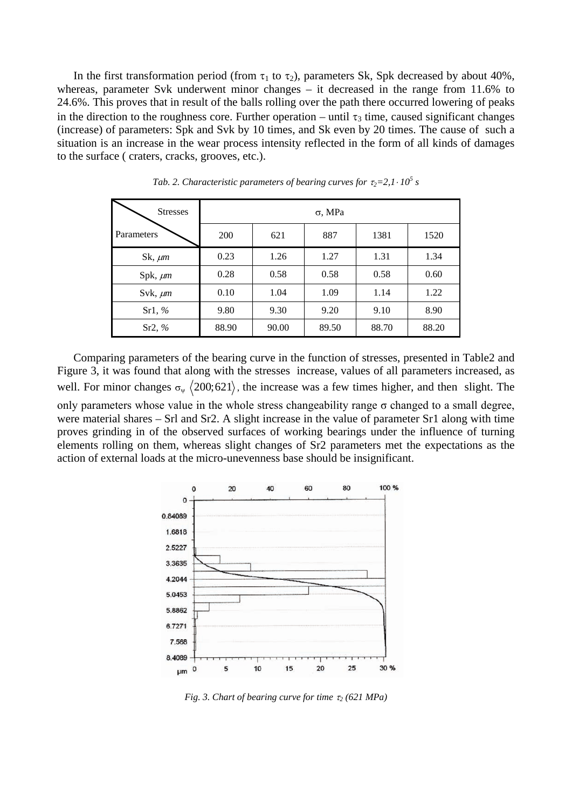In the first transformation period (from  $\tau_1$  to  $\tau_2$ ), parameters Sk, Spk decreased by about 40%, whereas, parameter Svk underwent minor changes – it decreased in the range from 11.6% to 24.6%. This proves that in result of the balls rolling over the path there occurred lowering of peaks in the direction to the roughness core. Further operation – until  $\tau_3$  time, caused significant changes (increase) of parameters: Spk and Svk by 10 times, and Sk even by 20 times. The cause of such a situation is an increase in the wear process intensity reflected in the form of all kinds of damages to the surface ( craters, cracks, grooves, etc.).

| <b>Stresses</b> | $\sigma$ , MPa |       |       |       |       |  |
|-----------------|----------------|-------|-------|-------|-------|--|
| Parameters      | 200            | 621   | 887   | 1381  | 1520  |  |
| Sk, $\mu$ m     | 0.23           | 1.26  | 1.27  | 1.31  | 1.34  |  |
| $Spk, \mu m$    | 0.28           | 0.58  | 0.58  | 0.58  | 0.60  |  |
| Svk, $\mu$ m    | 0.10           | 1.04  | 1.09  | 1.14  | 1.22  |  |
| Sr1, $%$        | 9.80           | 9.30  | 9.20  | 9.10  | 8.90  |  |
| Sr2, %          | 88.90          | 90.00 | 89.50 | 88.70 | 88.20 |  |

*Tab.* 2. Characteristic parameters of bearing curves for  $\tau_2 = 2$ ,  $1 \cdot 10^5$  s

Comparing parameters of the bearing curve in the function of stresses, presented in Table2 and Figure 3, it was found that along with the stresses increase, values of all parameters increased, as well. For minor changes  $\sigma_{\psi}$   $\langle 200; 621 \rangle$ , the increase was a few times higher, and then slight. The only parameters whose value in the whole stress changeability range  $\sigma$  changed to a small degree, were material shares – Srl and Sr2. A slight increase in the value of parameter Sr1 along with time proves grinding in of the observed surfaces of working bearings under the influence of turning elements rolling on them, whereas slight changes of Sr2 parameters met the expectations as the action of external loads at the micro-unevenness base should be insignificant.



*Fig. 3. Chart of bearing curve for time* <sup>τ</sup>*<sup>2</sup> (621 MPa)*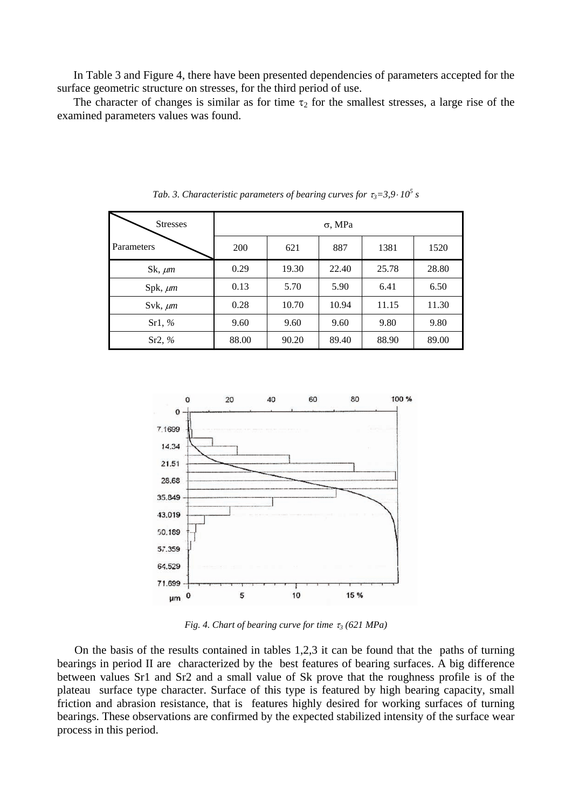In Table 3 and Figure 4, there have been presented dependencies of parameters accepted for the surface geometric structure on stresses, for the third period of use.

The character of changes is similar as for time  $\tau_2$  for the smallest stresses, a large rise of the examined parameters values was found.

| <b>Stresses</b> | $\sigma$ , MPa |       |       |       |       |  |  |
|-----------------|----------------|-------|-------|-------|-------|--|--|
| Parameters      | 200            | 621   | 887   | 1381  | 1520  |  |  |
| Sk, $\mu$ m     | 0.29           | 19.30 | 22.40 | 25.78 | 28.80 |  |  |
| Spk, $\mu$ m    | 0.13           | 5.70  | 5.90  | 6.41  | 6.50  |  |  |
| Svk, $\mu$ m    | 0.28           | 10.70 | 10.94 | 11.15 | 11.30 |  |  |
| Sr1, %          | 9.60           | 9.60  | 9.60  | 9.80  | 9.80  |  |  |
| Sr2, %          | 88.00          | 90.20 | 89.40 | 88.90 | 89.00 |  |  |

*Tab.* 3. Characteristic parameters of bearing curves for  $\tau_3 = 3.9 \cdot 10^5$  s



*Fig. 4. Chart of bearing curve for time* <sup>τ</sup>*<sup>3</sup> (621 MPa)*

On the basis of the results contained in tables 1,2,3 it can be found that the paths of turning bearings in period II are characterized by the best features of bearing surfaces. A big difference between values Sr1 and Sr2 and a small value of Sk prove that the roughness profile is of the plateau surface type character. Surface of this type is featured by high bearing capacity, small friction and abrasion resistance, that is features highly desired for working surfaces of turning bearings. These observations are confirmed by the expected stabilized intensity of the surface wear process in this period.